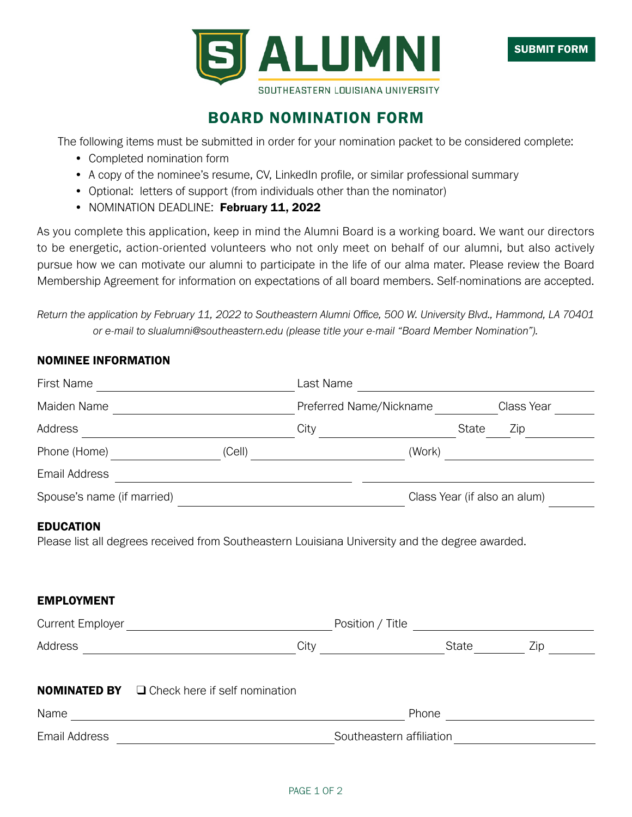

## BOARD NOMINATION FORM

The following items must be submitted in order for your nomination packet to be considered complete:

- Completed nomination form
- A copy of the nominee's resume, CV, LinkedIn profile, or similar professional summary
- Optional: letters of support (from individuals other than the nominator)
- NOMINATION DEADLINE: February 11, 2022

First Name Last Name

As you complete this application, keep in mind the Alumni Board is a working board. We want our directors to be energetic, action-oriented volunteers who not only meet on behalf of our alumni, but also actively pursue how we can motivate our alumni to participate in the life of our alma mater. Please review the Board Membership Agreement for information on expectations of all board members. Self-nominations are accepted.

*Return the application by February 11, 2022 to Southeastern Alumni Office, 500 W. University Blvd., Hammond, LA 70401 or e-mail to slualumni@southeastern.edu (please title your e-mail "Board Member Nomination").*

## NOMINEE INFORMATION

| <b>I II</b> UL IVAIIIU                                                                                               |                                                         | LUULTUUTTU                           |                                                                                                                                                                                                                                     |  |                                                                                                                                                                                                                                     |
|----------------------------------------------------------------------------------------------------------------------|---------------------------------------------------------|--------------------------------------|-------------------------------------------------------------------------------------------------------------------------------------------------------------------------------------------------------------------------------------|--|-------------------------------------------------------------------------------------------------------------------------------------------------------------------------------------------------------------------------------------|
|                                                                                                                      |                                                         | Preferred Name/Nickname Class Year   |                                                                                                                                                                                                                                     |  |                                                                                                                                                                                                                                     |
|                                                                                                                      |                                                         |                                      |                                                                                                                                                                                                                                     |  | State Zip                                                                                                                                                                                                                           |
|                                                                                                                      | (Cell)                                                  |                                      | (Work)                                                                                                                                                                                                                              |  | <u> 1989 - Andrea Station Books, amerikansk politiker (</u>                                                                                                                                                                         |
| Email Address                                                                                                        | <u> 1989 - Johann Barnett, fransk politik (d. 1989)</u> |                                      |                                                                                                                                                                                                                                     |  |                                                                                                                                                                                                                                     |
|                                                                                                                      |                                                         |                                      | Class Year (if also an alum)                                                                                                                                                                                                        |  |                                                                                                                                                                                                                                     |
| Please list all degrees received from Southeastern Louisiana University and the degree awarded.<br><b>EMPLOYMENT</b> |                                                         |                                      |                                                                                                                                                                                                                                     |  |                                                                                                                                                                                                                                     |
|                                                                                                                      |                                                         |                                      |                                                                                                                                                                                                                                     |  |                                                                                                                                                                                                                                     |
|                                                                                                                      |                                                         | City                                 | <b>State</b> State State State State State State State State State State State State State State State State State State State State State State State State State State State State State State State State State State State Stat |  | Zip                                                                                                                                                                                                                                 |
| <b>NOMINATED BY</b> $\Box$ Check here if self nomination                                                             |                                                         |                                      |                                                                                                                                                                                                                                     |  | Phone <u>and the second second</u> and the second second second second second second second second second second second second second second second second second second second second second second second second second second se |
| Email Address                                                                                                        |                                                         | Southeastern affiliation<br><u> </u> |                                                                                                                                                                                                                                     |  |                                                                                                                                                                                                                                     |